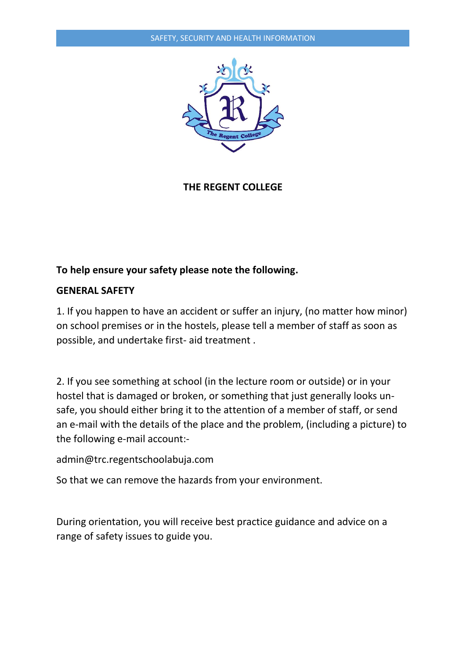

**THE REGENT COLLEGE**

# **To help ensure your safety please note the following.**

## **GENERAL SAFETY**

1. If you happen to have an accident or suffer an injury, (no matter how minor) on school premises or in the hostels, please tell a member of staff as soon as possible, and undertake first- aid treatment .

2. If you see something at school (in the lecture room or outside) or in your hostel that is damaged or broken, or something that just generally looks unsafe, you should either bring it to the attention of a member of staff, or send an e-mail with the details of the place and the problem, (including a picture) to the following e-mail account:-

admin@trc.regentschoolabuja.com

So that we can remove the hazards from your environment.

During orientation, you will receive best practice guidance and advice on a range of safety issues to guide you.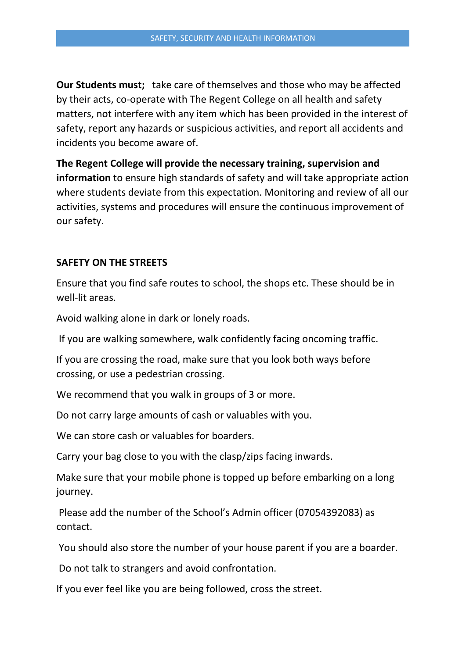**Our Students must;** take care of themselves and those who may be affected by their acts, co-operate with The Regent College on all health and safety matters, not interfere with any item which has been provided in the interest of safety, report any hazards or suspicious activities, and report all accidents and incidents you become aware of.

**The Regent College will provide the necessary training, supervision and information** to ensure high standards of safety and will take appropriate action where students deviate from this expectation. Monitoring and review of all our activities, systems and procedures will ensure the continuous improvement of our safety.

## **SAFETY ON THE STREETS**

Ensure that you find safe routes to school, the shops etc. These should be in well-lit areas.

Avoid walking alone in dark or lonely roads.

If you are walking somewhere, walk confidently facing oncoming traffic.

If you are crossing the road, make sure that you look both ways before crossing, or use a pedestrian crossing.

We recommend that you walk in groups of 3 or more.

Do not carry large amounts of cash or valuables with you.

We can store cash or valuables for boarders.

Carry your bag close to you with the clasp/zips facing inwards.

Make sure that your mobile phone is topped up before embarking on a long journey.

Please add the number of the School's Admin officer (07054392083) as contact.

You should also store the number of your house parent if you are a boarder.

Do not talk to strangers and avoid confrontation.

If you ever feel like you are being followed, cross the street.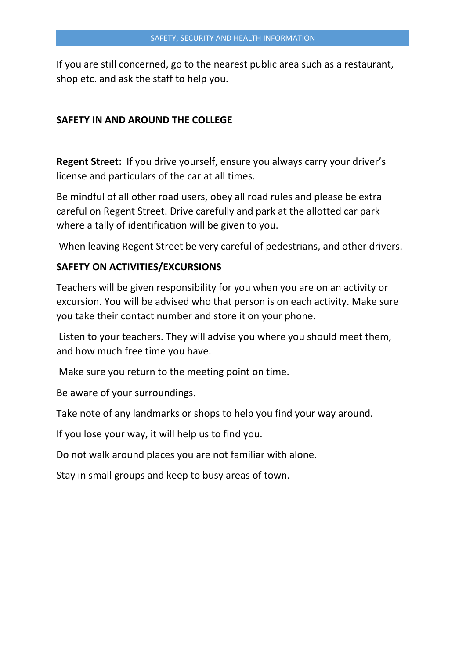If you are still concerned, go to the nearest public area such as a restaurant, shop etc. and ask the staff to help you.

## **SAFETY IN AND AROUND THE COLLEGE**

**Regent Street:** If you drive yourself, ensure you always carry your driver's license and particulars of the car at all times.

Be mindful of all other road users, obey all road rules and please be extra careful on Regent Street. Drive carefully and park at the allotted car park where a tally of identification will be given to you.

When leaving Regent Street be very careful of pedestrians, and other drivers.

## **SAFETY ON ACTIVITIES/EXCURSIONS**

Teachers will be given responsibility for you when you are on an activity or excursion. You will be advised who that person is on each activity. Make sure you take their contact number and store it on your phone.

Listen to your teachers. They will advise you where you should meet them, and how much free time you have.

Make sure you return to the meeting point on time.

Be aware of your surroundings.

Take note of any landmarks or shops to help you find your way around.

If you lose your way, it will help us to find you.

Do not walk around places you are not familiar with alone.

Stay in small groups and keep to busy areas of town.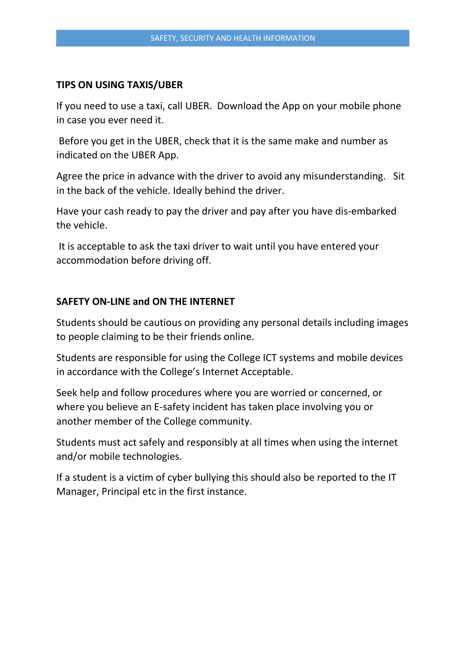#### **TIPS ON USING TAXIS/UBER**

If you need to use a taxi, call UBER. Download the App on your mobile phone in case you ever need it.

Before you get in the UBER, check that it is the same make and number as indicated on the UBER App.

Agree the price in advance with the driver to avoid any misunderstanding. Sit in the back of the vehicle. Ideally behind the driver.

Have your cash ready to pay the driver and pay after you have dis-embarked the vehicle.

It is acceptable to ask the taxi driver to wait until you have entered your accommodation before driving off.

## **SAFETY ON-LINE and ON THE INTERNET**

Students should be cautious on providing any personal details including images to people claiming to be their friends online.

Students are responsible for using the College ICT systems and mobile devices in accordance with the College's Internet Acceptable.

Seek help and follow procedures where you are worried or concerned, or where you believe an E-safety incident has taken place involving you or another member of the College community.

Students must act safely and responsibly at all times when using the internet and/or mobile technologies.

If a student is a victim of cyber bullying this should also be reported to the IT Manager, Principal etc in the first instance.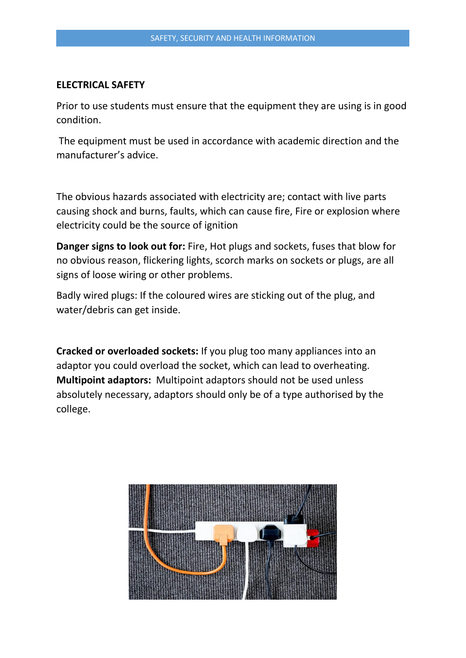#### **ELECTRICAL SAFETY**

Prior to use students must ensure that the equipment they are using is in good condition.

The equipment must be used in accordance with academic direction and the manufacturer's advice.

The obvious hazards associated with electricity are; contact with live parts causing shock and burns, faults, which can cause fire, Fire or explosion where electricity could be the source of ignition

**Danger signs to look out for:** Fire, Hot plugs and sockets, fuses that blow for no obvious reason, flickering lights, scorch marks on sockets or plugs, are all signs of loose wiring or other problems.

Badly wired plugs: If the coloured wires are sticking out of the plug, and water/debris can get inside.

**Cracked or overloaded sockets:** If you plug too many appliances into an adaptor you could overload the socket, which can lead to overheating. **Multipoint adaptors:** Multipoint adaptors should not be used unless absolutely necessary, adaptors should only be of a type authorised by the college.

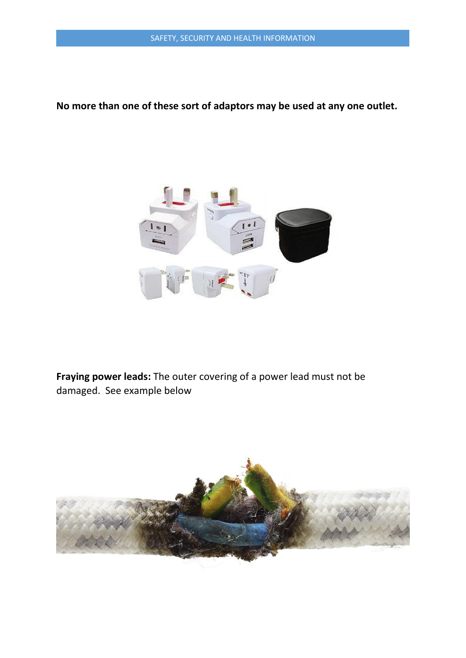## **No more than one of these sort of adaptors may be used at any one outlet.**



**Fraying power leads:** The outer covering of a power lead must not be damaged. See example below